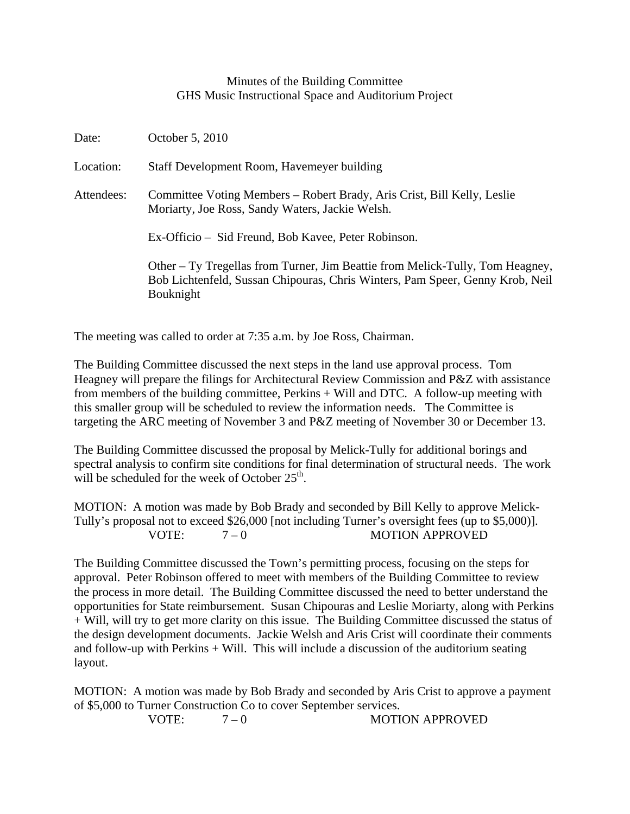## Minutes of the Building Committee GHS Music Instructional Space and Auditorium Project

| Date:      | October 5, 2010                                                                                                                                                             |
|------------|-----------------------------------------------------------------------------------------------------------------------------------------------------------------------------|
| Location:  | Staff Development Room, Havemeyer building                                                                                                                                  |
| Attendees: | Committee Voting Members – Robert Brady, Aris Crist, Bill Kelly, Leslie<br>Moriarty, Joe Ross, Sandy Waters, Jackie Welsh.                                                  |
|            | Ex-Officio – Sid Freund, Bob Kavee, Peter Robinson.                                                                                                                         |
|            | Other – Ty Tregellas from Turner, Jim Beattie from Melick-Tully, Tom Heagney,<br>Bob Lichtenfeld, Sussan Chipouras, Chris Winters, Pam Speer, Genny Krob, Neil<br>Bouknight |

The meeting was called to order at 7:35 a.m. by Joe Ross, Chairman.

The Building Committee discussed the next steps in the land use approval process. Tom Heagney will prepare the filings for Architectural Review Commission and P&Z with assistance from members of the building committee, Perkins + Will and DTC. A follow-up meeting with this smaller group will be scheduled to review the information needs. The Committee is targeting the ARC meeting of November 3 and P&Z meeting of November 30 or December 13.

The Building Committee discussed the proposal by Melick-Tully for additional borings and spectral analysis to confirm site conditions for final determination of structural needs. The work will be scheduled for the week of October 25<sup>th</sup>.

MOTION: A motion was made by Bob Brady and seconded by Bill Kelly to approve Melick-Tully's proposal not to exceed \$26,000 [not including Turner's oversight fees (up to \$5,000)]. VOTE:  $7-0$  MOTION APPROVED

The Building Committee discussed the Town's permitting process, focusing on the steps for approval. Peter Robinson offered to meet with members of the Building Committee to review the process in more detail. The Building Committee discussed the need to better understand the opportunities for State reimbursement. Susan Chipouras and Leslie Moriarty, along with Perkins + Will, will try to get more clarity on this issue. The Building Committee discussed the status of the design development documents. Jackie Welsh and Aris Crist will coordinate their comments and follow-up with Perkins + Will. This will include a discussion of the auditorium seating layout.

MOTION: A motion was made by Bob Brady and seconded by Aris Crist to approve a payment of \$5,000 to Turner Construction Co to cover September services.

VOTE:  $7-0$  MOTION APPROVED